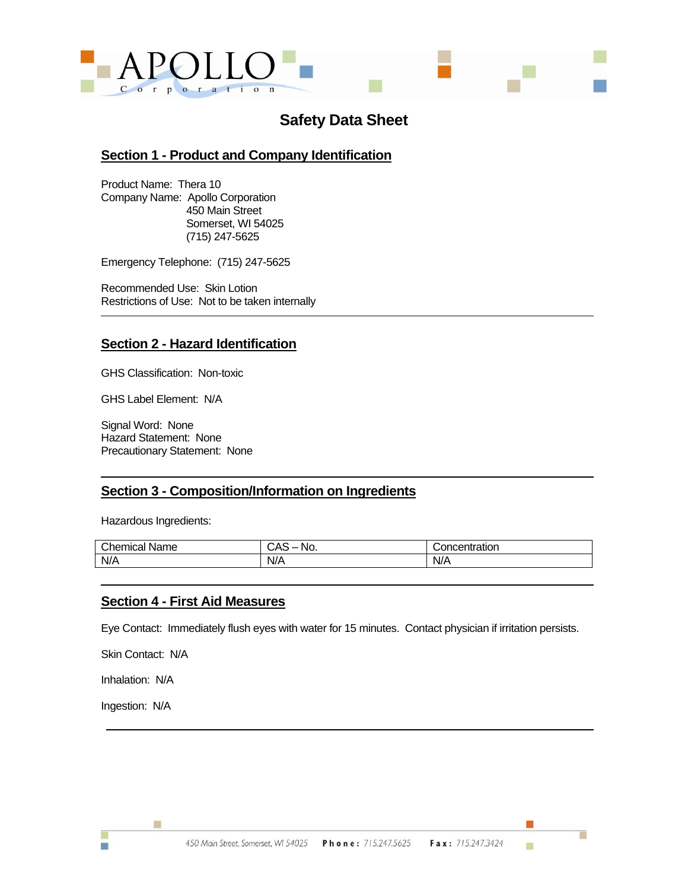

# **Safety Data Sheet**

### **Section 1 - Product and Company Identification**

Product Name: Thera 10 Company Name: Apollo Corporation 450 Main Street Somerset, WI 54025 (715) 247-5625

Emergency Telephone: (715) 247-5625

Recommended Use: Skin Lotion Restrictions of Use: Not to be taken internally

## **Section 2 - Hazard Identification**

GHS Classification: Non-toxic

GHS Label Element: N/A

Signal Word: None Hazard Statement: None Precautionary Statement: None

#### **Section 3 - Composition/Information on Ingredients**

Hazardous Ingredients:

| Chemical<br>Name | Νı<br>◡◠<br>w.<br>$\sim$ | ratior.<br>1 I I |
|------------------|--------------------------|------------------|
| N/A              | N/A                      | N/A              |

#### **Section 4 - First Aid Measures**

Eye Contact: Immediately flush eyes with water for 15 minutes. Contact physician if irritation persists.

Skin Contact: N/A

Inhalation: N/A

Ingestion: N/A

Ħ

ш

г

ш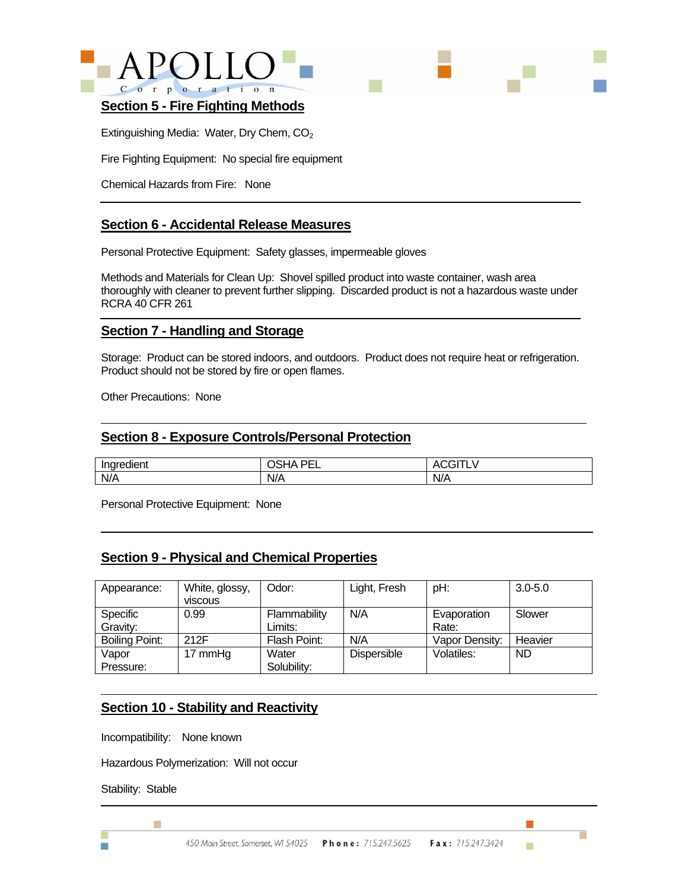



#### **Section 5 - Fire Fighting Methods**

Extinguishing Media: Water, Dry Chem, CO<sub>2</sub>

Fire Fighting Equipment: No special fire equipment

Chemical Hazards from Fire: None

### **Section 6 - Accidental Release Measures**

Personal Protective Equipment: Safety glasses, impermeable gloves

Methods and Materials for Clean Up: Shovel spilled product into waste container, wash area thoroughly with cleaner to prevent further slipping. Discarded product is not a hazardous waste under RCRA 40 CFR 261

#### **Section 7 - Handling and Storage**

Storage: Product can be stored indoors, and outdoors. Product does not require heat or refrigeration. Product should not be stored by fire or open flames.

Other Precautions: None

#### **Section 8 - Exposure Controls/Personal Protection**

| <br>Indredient | DE)<br>$\mathbf{A}$<br>$\cdot$<br>-- | Δ1  |
|----------------|--------------------------------------|-----|
| N/A            | N/A                                  | N/A |

Personal Protective Equipment: None

#### **Section 9 - Physical and Chemical Properties**

| Appearance:           | White, glossy, | Odor:        | Light, Fresh       | pH:            | $3.0 - 5.0$ |
|-----------------------|----------------|--------------|--------------------|----------------|-------------|
|                       | viscous        |              |                    |                |             |
| <b>Specific</b>       | 0.99           | Flammability | N/A                | Evaporation    | Slower      |
| Gravity:              |                | Limits:      |                    | Rate:          |             |
| <b>Boiling Point:</b> | 212F           | Flash Point: | N/A                | Vapor Density: | Heavier     |
| Vapor                 | 17 mmHg        | Water        | <b>Dispersible</b> | Volatiles:     | <b>ND</b>   |
| Pressure:             |                | Solubility:  |                    |                |             |

#### **Section 10 - Stability and Reactivity**

Incompatibility: None known

Hazardous Polymerization: Will not occur

Stability: Stable

m.

Ħ

m